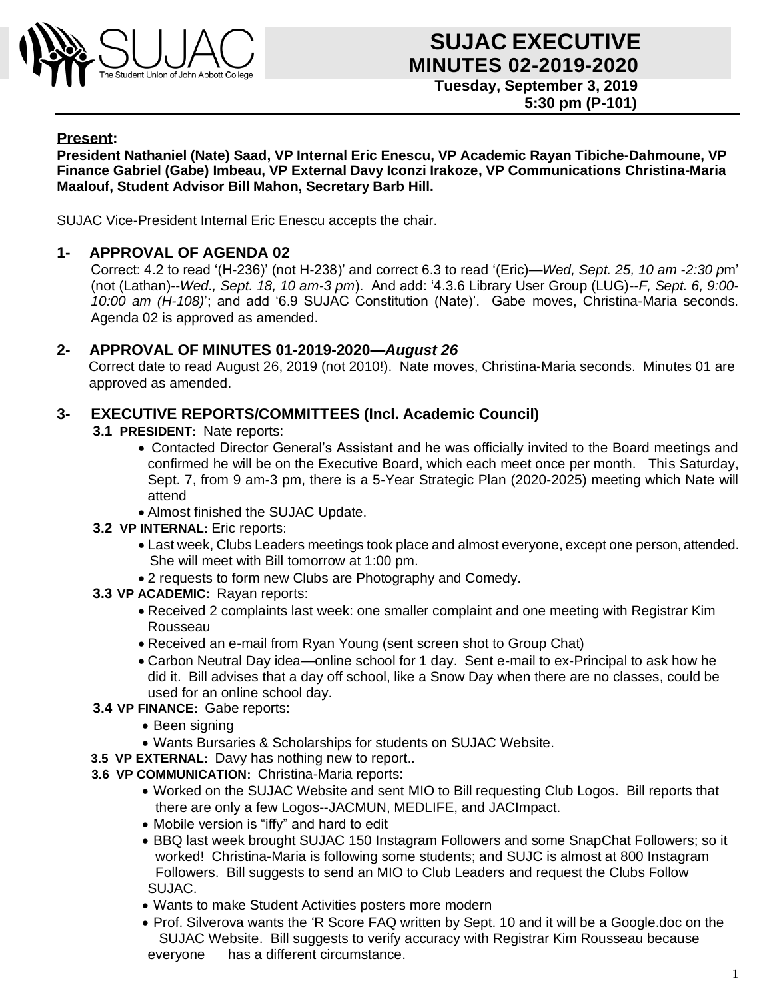

#### **Present:**

**President Nathaniel (Nate) Saad, VP Internal Eric Enescu, VP Academic Rayan Tibiche-Dahmoune, VP Finance Gabriel (Gabe) Imbeau, VP External Davy Iconzi Irakoze, VP Communications Christina-Maria Maalouf, Student Advisor Bill Mahon, Secretary Barb Hill.**

SUJAC Vice-President Internal Eric Enescu accepts the chair.

### **1- APPROVAL OF AGENDA 02**

Correct: 4.2 to read '(H-236)' (not H-238)' and correct 6.3 to read '(Eric)—*Wed, Sept. 25, 10 am -2:30 p*m' (not (Lathan)--*Wed., Sept. 18, 10 am-3 pm*). And add: '4.3.6 Library User Group (LUG)--*F, Sept. 6, 9:00- 10:00 am (H-108)*'; and add '6.9 SUJAC Constitution (Nate)'. Gabe moves, Christina-Maria seconds. Agenda 02 is approved as amended.

### **2- APPROVAL OF MINUTES 01-2019-2020—***August 26*

Correct date to read August 26, 2019 (not 2010!). Nate moves, Christina-Maria seconds. Minutes 01 are approved as amended.

### **3- EXECUTIVE REPORTS/COMMITTEES (Incl. Academic Council)**

- **3.1 PRESIDENT:** Nate reports:
	- Contacted Director General's Assistant and he was officially invited to the Board meetings and confirmed he will be on the Executive Board, which each meet once per month. This Saturday, Sept. 7, from 9 am-3 pm, there is a 5-Year Strategic Plan (2020-2025) meeting which Nate will attend
	- Almost finished the SUJAC Update.
- **3.2 VP INTERNAL:** Eric reports:
	- Last week, Clubs Leaders meetings took place and almost everyone, except one person, attended. She will meet with Bill tomorrow at 1:00 pm.
	- 2 requests to form new Clubs are Photography and Comedy.
- **3.3 VP ACADEMIC:** Rayan reports:
	- Received 2 complaints last week: one smaller complaint and one meeting with Registrar Kim Rousseau
	- Received an e-mail from Ryan Young (sent screen shot to Group Chat)
	- Carbon Neutral Day idea—online school for 1 day. Sent e-mail to ex-Principal to ask how he did it. Bill advises that a day off school, like a Snow Day when there are no classes, could be used for an online school day.
- **3.4 VP FINANCE:** Gabe reports:
	- Been signing
	- Wants Bursaries & Scholarships for students on SUJAC Website.
- **3.5 VP EXTERNAL:** Davy has nothing new to report..
- **3.6 VP COMMUNICATION:** Christina-Maria reports:
	- Worked on the SUJAC Website and sent MIO to Bill requesting Club Logos. Bill reports that there are only a few Logos--JACMUN, MEDLIFE, and JACImpact.
	- Mobile version is "iffy" and hard to edit
	- BBQ last week brought SUJAC 150 Instagram Followers and some SnapChat Followers; so it worked! Christina-Maria is following some students; and SUJC is almost at 800 Instagram Followers. Bill suggests to send an MIO to Club Leaders and request the Clubs Follow SUJAC.
	- Wants to make Student Activities posters more modern
	- Prof. Silverova wants the 'R Score FAQ written by Sept. 10 and it will be a Google.doc on the SUJAC Website. Bill suggests to verify accuracy with Registrar Kim Rousseau because everyone has a different circumstance.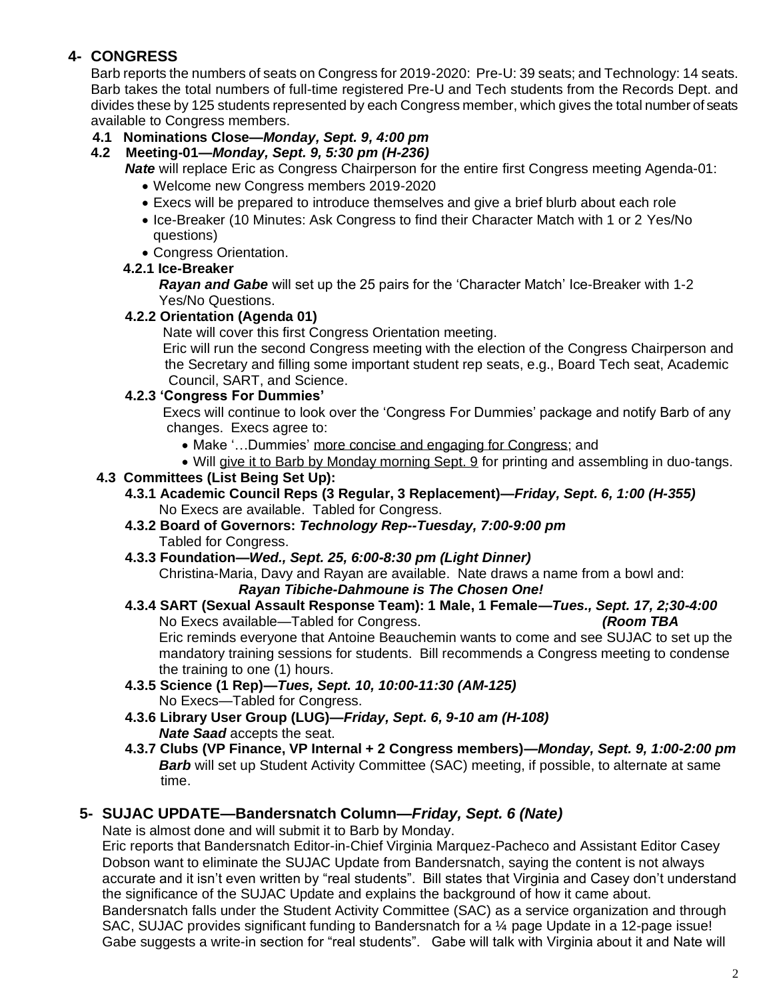# **4- CONGRESS**

Barb reports the numbers of seats on Congress for 2019-2020: Pre-U: 39 seats; and Technology: 14 seats. Barb takes the total numbers of full-time registered Pre-U and Tech students from the Records Dept. and divides these by 125 students represented by each Congress member, which gives the total number of seats available to Congress members.

# **4.1 Nominations Close—***Monday, Sept. 9, 4:00 pm*

# **4.2 Meeting-01—***Monday, Sept. 9, 5:30 pm (H-236)*

*Nate* will replace Eric as Congress Chairperson for the entire first Congress meeting Agenda-01:

- Welcome new Congress members 2019-2020
- Execs will be prepared to introduce themselves and give a brief blurb about each role
- Ice-Breaker (10 Minutes: Ask Congress to find their Character Match with 1 or 2 Yes/No questions)
- Congress Orientation.

# **4.2.1 Ice-Breaker**

*Rayan and Gabe* will set up the 25 pairs for the 'Character Match' Ice-Breaker with 1-2 Yes/No Questions.

# **4.2.2 Orientation (Agenda 01)**

Nate will cover this first Congress Orientation meeting.

Eric will run the second Congress meeting with the election of the Congress Chairperson and the Secretary and filling some important student rep seats, e.g., Board Tech seat, Academic Council, SART, and Science.

# **4.2.3 'Congress For Dummies'**

Execs will continue to look over the 'Congress For Dummies' package and notify Barb of any changes. Execs agree to:

- Make '…Dummies' more concise and engaging for Congress; and
- Will give it to Barb by Monday morning Sept. 9 for printing and assembling in duo-tangs.

# **4.3 Committees (List Being Set Up):**

- **4.3.1 Academic Council Reps (3 Regular, 3 Replacement)—***Friday, Sept. 6, 1:00 (H-355)* No Execs are available. Tabled for Congress.
- **4.3.2 Board of Governors:** *Technology Rep--Tuesday, 7:00-9:00 pm* Tabled for Congress.
- **4.3.3 Foundation—***Wed., Sept. 25, 6:00-8:30 pm (Light Dinner)*

Christina-Maria, Davy and Rayan are available. Nate draws a name from a bowl and: *Rayan Tibiche-Dahmoune is The Chosen One!* 

- **4.3.4 SART (Sexual Assault Response Team): 1 Male, 1 Female—***Tues., Sept. 17, 2;30-4:00* No Execs available—Tabled for Congress. *(Room TBA* Eric reminds everyone that Antoine Beauchemin wants to come and see SUJAC to set up the mandatory training sessions for students. Bill recommends a Congress meeting to condense the training to one (1) hours.
- **4.3.5 Science (1 Rep)—***Tues, Sept. 10, 10:00-11:30 (AM-125)* No Execs—Tabled for Congress.
- **4.3.6 Library User Group (LUG)—***Friday, Sept. 6, 9-10 am (H-108) Nate Saad* accepts the seat.
- **4.3.7 Clubs (VP Finance, VP Internal + 2 Congress members)—***Monday, Sept. 9, 1:00-2:00 pm* **Barb** will set up Student Activity Committee (SAC) meeting, if possible, to alternate at same time.

# **5- SUJAC UPDATE—Bandersnatch Column—***Friday, Sept. 6 (Nate)*

Nate is almost done and will submit it to Barb by Monday.

Eric reports that Bandersnatch Editor-in-Chief Virginia Marquez-Pacheco and Assistant Editor Casey Dobson want to eliminate the SUJAC Update from Bandersnatch, saying the content is not always accurate and it isn't even written by "real students". Bill states that Virginia and Casey don't understand the significance of the SUJAC Update and explains the background of how it came about. Bandersnatch falls under the Student Activity Committee (SAC) as a service organization and through SAC, SUJAC provides significant funding to Bandersnatch for a ¼ page Update in a 12-page issue! Gabe suggests a write-in section for "real students". Gabe will talk with Virginia about it and Nate will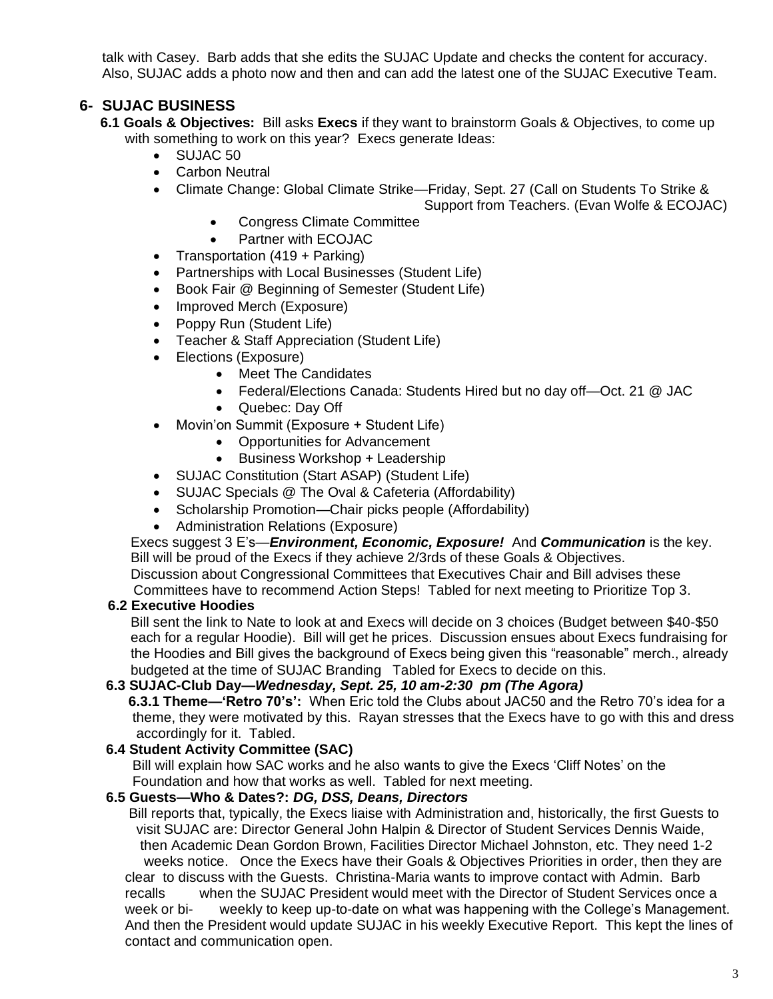talk with Casey. Barb adds that she edits the SUJAC Update and checks the content for accuracy. Also, SUJAC adds a photo now and then and can add the latest one of the SUJAC Executive Team.

# **6- SUJAC BUSINESS**

- **6.1 Goals & Objectives:** Bill asks **Execs** if they want to brainstorm Goals & Objectives, to come up with something to work on this year? Execs generate Ideas:
	- SUJAC 50
	- Carbon Neutral
	- Climate Change: Global Climate Strike—Friday, Sept. 27 (Call on Students To Strike &

Support from Teachers. (Evan Wolfe & ECOJAC)

- Congress Climate Committee
- Partner with ECOJAC
- Transportation (419 + Parking)
- Partnerships with Local Businesses (Student Life)
- Book Fair @ Beginning of Semester (Student Life)
- Improved Merch (Exposure)
- Poppy Run (Student Life)
- Teacher & Staff Appreciation (Student Life)
- Elections (Exposure)
	- Meet The Candidates
	- Federal/Elections Canada: Students Hired but no day off—Oct. 21 @ JAC
	- Quebec: Day Off
- Movin'on Summit (Exposure + Student Life)
	- Opportunities for Advancement
	- Business Workshop + Leadership
- SUJAC Constitution (Start ASAP) (Student Life)
- SUJAC Specials @ The Oval & Cafeteria (Affordability)
- Scholarship Promotion—Chair picks people (Affordability)
- Administration Relations (Exposure)

Execs suggest 3 E's—*Environment, Economic, Exposure!* And *Communication* is the key. Bill will be proud of the Execs if they achieve 2/3rds of these Goals & Objectives. Discussion about Congressional Committees that Executives Chair and Bill advises these

Committees have to recommend Action Steps! Tabled for next meeting to Prioritize Top 3.

#### **6.2 Executive Hoodies**

Bill sent the link to Nate to look at and Execs will decide on 3 choices (Budget between \$40-\$50 each for a regular Hoodie). Bill will get he prices. Discussion ensues about Execs fundraising for the Hoodies and Bill gives the background of Execs being given this "reasonable" merch., already budgeted at the time of SUJAC Branding Tabled for Execs to decide on this.

#### **6.3 SUJAC-Club Day—***Wednesday, Sept. 25, 10 am-2:30 pm (The Agora)*

**6.3.1 Theme—'Retro 70's':** When Eric told the Clubs about JAC50 and the Retro 70's idea for a theme, they were motivated by this. Rayan stresses that the Execs have to go with this and dress accordingly for it. Tabled.

# **6.4 Student Activity Committee (SAC)**

Bill will explain how SAC works and he also wants to give the Execs 'Cliff Notes' on the Foundation and how that works as well. Tabled for next meeting.

#### **6.5 Guests—Who & Dates?:** *DG, DSS, Deans, Directors*

Bill reports that, typically, the Execs liaise with Administration and, historically, the first Guests to visit SUJAC are: Director General John Halpin & Director of Student Services Dennis Waide, then Academic Dean Gordon Brown, Facilities Director Michael Johnston, etc. They need 1-2 weeks notice. Once the Execs have their Goals & Objectives Priorities in order, then they are clear to discuss with the Guests. Christina-Maria wants to improve contact with Admin. Barb recalls when the SUJAC President would meet with the Director of Student Services once a week or bi- weekly to keep up-to-date on what was happening with the College's Management. And then the President would update SUJAC in his weekly Executive Report. This kept the lines of contact and communication open.